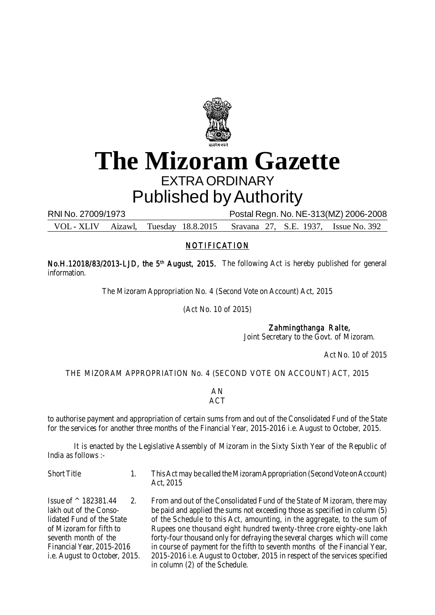

## **The Mizoram Gazette** EXTRA ORDINARY

Published by Authority

RNI No. 27009/1973 Postal Regn. No. NE-313(MZ) 2006-2008 VOL - XLIV Aizawl, Tuesday 18.8.2015 Sravana 27, S.E. 1937, Issue No. 392

## NOTIFICATION

No.H.12018/83/2013-LJD, the 5<sup>th</sup> August, 2015. The following Act is hereby published for general information.

The Mizoram Appropriation No. 4 (Second Vote on Account) Act, 2015

(Act No. 10 of 2015)

Zahmingthanga Ralte,

Joint Secretary to the Govt. of Mizoram.

Act No. 10 of 2015

THE MIZORAM APPROPRIATION No. 4 (SECOND VOTE ON ACCOUNT) ACT, 2015

AN **ACT** 

to authorise payment and appropriation of certain sums from and out of the Consolidated Fund of the State for the services for another three months of the Financial Year, 2015-2016 i.e. August to October, 2015.

It is enacted by the Legislative Assembly of Mizoram in the Sixty Sixth Year of the Republic of India as follows :-

Short Title 1. This Act may be called the Mizoram Appropriation (Second Vote on Account) Act, 2015

Issue of ^ 182381.44 2. From and out of the Consolidated Fund of the State of Mizoram, there may lakh out of the Conso- be paid and applied the sums not exceeding those as specified in column (5) lidated Fund of the State of the Schedule to this Act, amounting, in the aggregate, to the sum of of Mizoram for fifth to Rupees one thousand eight hundred twenty-three crore eighty-one lakh seventh month of the forty-four thousand only for defraying the several charges which will come Financial Year, 2015-2016 in course of payment for the fifth to seventh months of the Financial Year, i.e. August to October, 2015. 2015-2016 i.e. August to October, 2015 in respect of the services specified in column (2) of the Schedule.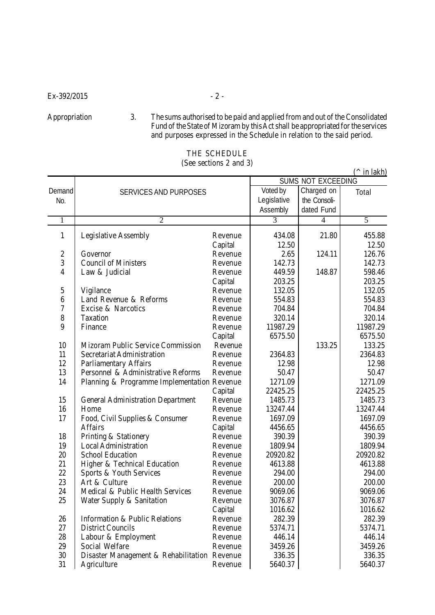Appropriation 3. The sums authorised to be paid and applied from and out of the Consolidated Fund of the State of Mizoram by this Act shall be appropriated for the services and purposes expressed in the Schedule in relation to the said period.

## THE SCHEDULE (See sections 2 and 3)

1 Legislative Assembly Revenue 1 434.08 21.80 455.88<br>Capital 12.50 12.50 Capital 12.50 12.50 2 Governor Revenue 2.65 124.11 126.76 3 Council of Ministers Revenue 142.73 142.73 4 | Law & Judicial Revenue | 449.59 | 148.87 | 598.46 Capital | 203.25 | 203.25 5 Vigilance Revenue 132.05 132.05 6 Land Revenue & Reforms Revenue 1 554.83<br>
Revenue 1 704.84<br>
Revenue 1 704.84<br>
Total 704.84 Excise & Narcotics **Revenue 1 704.84** 704.84 8 Taxation Revenue 320.14 320.14 9 Finance Revenue 11987.29 11987.29 Capital 1 6575.50 6575.50 10 | Mizoram Public Service Commission Revenue | 133.25 | 133.25 11 Secretariat Administration Revenue 1 2364.83 2364.83 12 Parliamentary Affairs Revenue 12.98 12.98 13 Personnel & Administrative Reforms Revenue 1 50.47 14 Planning & Programme Implementation Revenue | 1271.09 | 1271.09 Capital 22425.25 22425.25 15 | General Administration Department Revenue | 1485.73 | 1485.73 16 Home Revenue 13247.44 13247.44 17 | Food, Civil Supplies & Consumer Revenue | 1697.09 | 1697.09 Affairs Capital 4456.65 4456.65 18 Printing & Stationery Revenue 390.39 18 390.39 19 Local Administration Revenue 1 1809.94 1809.94 20 School Education Revenue 20920.82 20920.82 21 | Higher & Technical Education Revenue | 4613.88 | 4613.88 22 Sports & Youth Services Revenue 294.00 294.00 23 Art & Culture Revenue Revenue 200.00 and 200.00 200.00<br>24 Medical & Public Health Services Revenue 9069.06 2009.06 Medical & Public Health Services Revenue | 9069.06 | 9069.06 25 Water Supply & Sanitation Revenue 3076.87 3076.87 Capital | 1016.62 | 1016.62 26 Information & Public Relations Revenue 282.39 282.39 27 District Councils **Revenue 1 5374.71** 5374.71 28 Labour & Employment Revenue | 446.14 446.14 29 Social Welfare **Revenue 1 3459.26** 3459.26 30 Disaster Management & Rehabilitation Revenue 1 336.35 35 31 Agriculture Revenue 5640.37 5640.37  $(^{\wedge}$  in lakh) **Demand** No.  $1 \quad 2 \quad 3 \quad 4 \quad 5$ SERVICES AND PURPOSES Voted by Legislative Assembly Charged on the Consolidated Fund Total SUMS NOT EXCEEDING